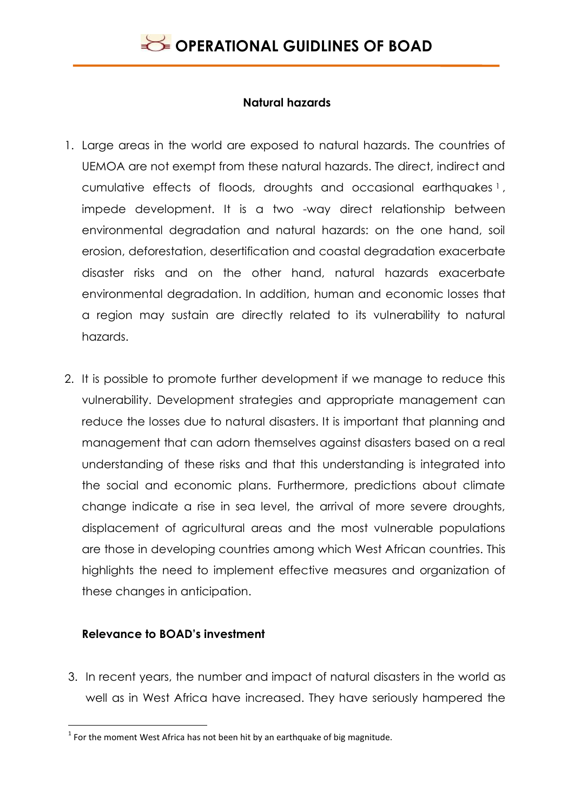

#### **Natural hazards**

- 1. Large areas in the world are exposed to natural hazards. The countries of UEMOA are not exempt from these natural hazards. The direct, indirect and cumulative effects of floods, droughts and occasional earthquakes <sup>1</sup> , impede development. It is a two -way direct relationship between environmental degradation and natural hazards: on the one hand, soil erosion, deforestation, desertification and coastal degradation exacerbate disaster risks and on the other hand, natural hazards exacerbate environmental degradation. In addition, human and economic losses that a region may sustain are directly related to its vulnerability to natural hazards.
- 2. It is possible to promote further development if we manage to reduce this vulnerability. Development strategies and appropriate management can reduce the losses due to natural disasters. It is important that planning and management that can adorn themselves against disasters based on a real understanding of these risks and that this understanding is integrated into the social and economic plans. Furthermore, predictions about climate change indicate a rise in sea level, the arrival of more severe droughts, displacement of agricultural areas and the most vulnerable populations are those in developing countries among which West African countries. This highlights the need to implement effective measures and organization of these changes in anticipation.

### **Relevance to BOAD's investment**

3. In recent years, the number and impact of natural disasters in the world as well as in West Africa have increased. They have seriously hampered the

 1 For the moment West Africa has not been hit by an earthquake of big magnitude.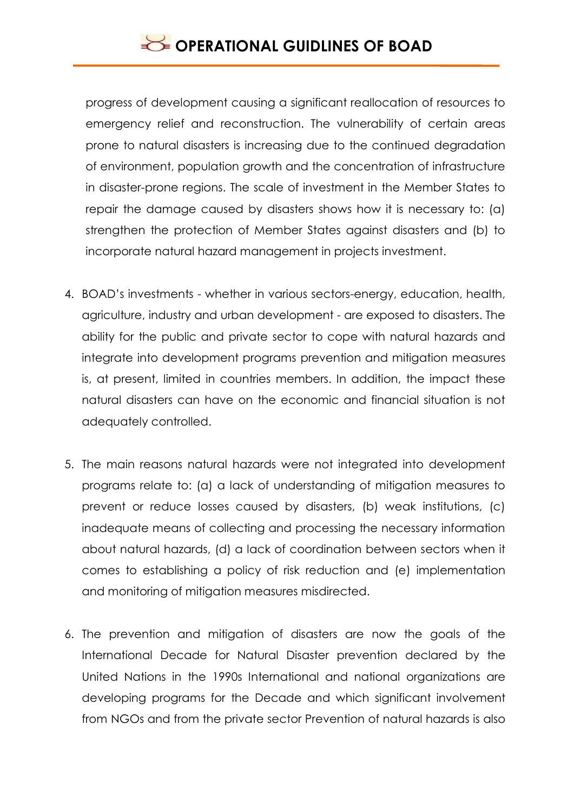progress of development causing a significant reallocation of resources to emergency relief and reconstruction. The vulnerability of certain areas prone to natural disasters is increasing due to the continued degradation of environment, population growth and the concentration of infrastructure in disaster-prone regions. The scale of investment in the Member States to repair the damage caused by disasters shows how it is necessary to: (a) strengthen the protection of Member States against disasters and (b) to incorporate natural hazard management in projects investment.

- 4. BOAD's investments whether in various sectors-energy, education, health, agriculture, industry and urban development - are exposed to disasters. The ability for the public and private sector to cope with natural hazards and integrate into development programs prevention and mitigation measures is, at present, limited in countries members. In addition, the impact these natural disasters can have on the economic and financial situation is not adequately controlled.
- 5. The main reasons natural hazards were not integrated into development programs relate to: (a) a lack of understanding of mitigation measures to prevent or reduce losses caused by disasters, (b) weak institutions, (c) inadequate means of collecting and processing the necessary information about natural hazards, (d) a lack of coordination between sectors when it comes to establishing a policy of risk reduction and (e) implementation and monitoring of mitigation measures misdirected.
- 6. The prevention and mitigation of disasters are now the goals of the International Decade for Natural Disaster prevention declared by the United Nations in the 1990s International and national organizations are developing programs for the Decade and which significant involvement from NGOs and from the private sector Prevention of natural hazards is also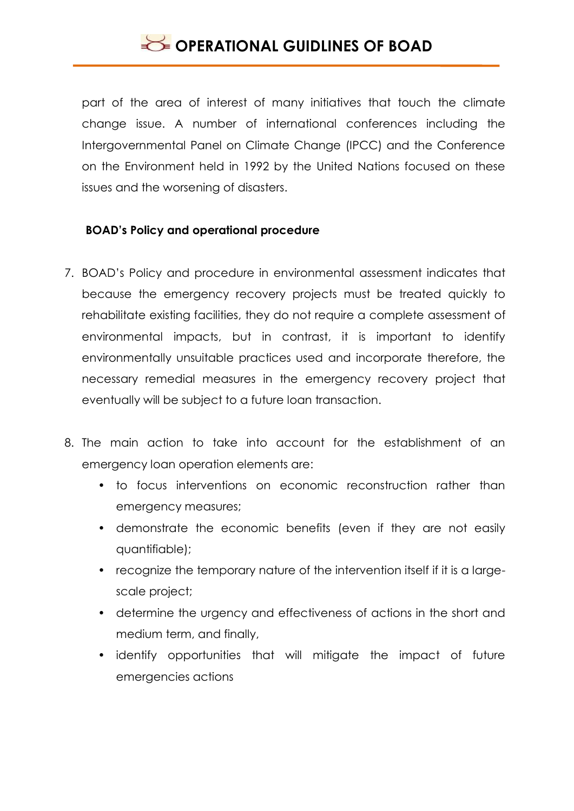# **OPERATIONAL GUIDLINES OF BOAD**

part of the area of interest of many initiatives that touch the climate change issue. A number of international conferences including the Intergovernmental Panel on Climate Change (IPCC) and the Conference on the Environment held in 1992 by the United Nations focused on these issues and the worsening of disasters.

### **BOAD's Policy and operational procedure**

- 7. BOAD's Policy and procedure in environmental assessment indicates that because the emergency recovery projects must be treated quickly to rehabilitate existing facilities, they do not require a complete assessment of environmental impacts, but in contrast, it is important to identify environmentally unsuitable practices used and incorporate therefore, the necessary remedial measures in the emergency recovery project that eventually will be subject to a future loan transaction.
- 8. The main action to take into account for the establishment of an emergency loan operation elements are:
	- to focus interventions on economic reconstruction rather than emergency measures;
	- demonstrate the economic benefits (even if they are not easily quantifiable);
	- recognize the temporary nature of the intervention itself if it is a largescale project;
	- determine the urgency and effectiveness of actions in the short and medium term, and finally,
	- identify opportunities that will mitigate the impact of future emergencies actions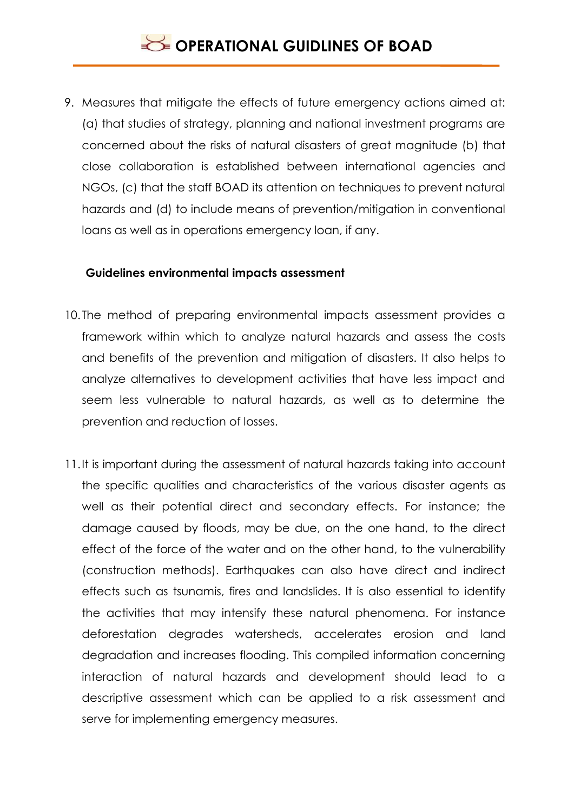## **OPERATIONAL GUIDLINES OF BOAD**

9. Measures that mitigate the effects of future emergency actions aimed at: (a) that studies of strategy, planning and national investment programs are concerned about the risks of natural disasters of great magnitude (b) that close collaboration is established between international agencies and NGOs, (c) that the staff BOAD its attention on techniques to prevent natural hazards and (d) to include means of prevention/mitigation in conventional loans as well as in operations emergency loan, if any.

#### **Guidelines environmental impacts assessment**

- 10. The method of preparing environmental impacts assessment provides a framework within which to analyze natural hazards and assess the costs and benefits of the prevention and mitigation of disasters. It also helps to analyze alternatives to development activities that have less impact and seem less vulnerable to natural hazards, as well as to determine the prevention and reduction of losses.
- 11.It is important during the assessment of natural hazards taking into account the specific qualities and characteristics of the various disaster agents as well as their potential direct and secondary effects. For instance; the damage caused by floods, may be due, on the one hand, to the direct effect of the force of the water and on the other hand, to the vulnerability (construction methods). Earthquakes can also have direct and indirect effects such as tsunamis, fires and landslides. It is also essential to identify the activities that may intensify these natural phenomena. For instance deforestation degrades watersheds, accelerates erosion and land degradation and increases flooding. This compiled information concerning interaction of natural hazards and development should lead to a descriptive assessment which can be applied to a risk assessment and serve for implementing emergency measures.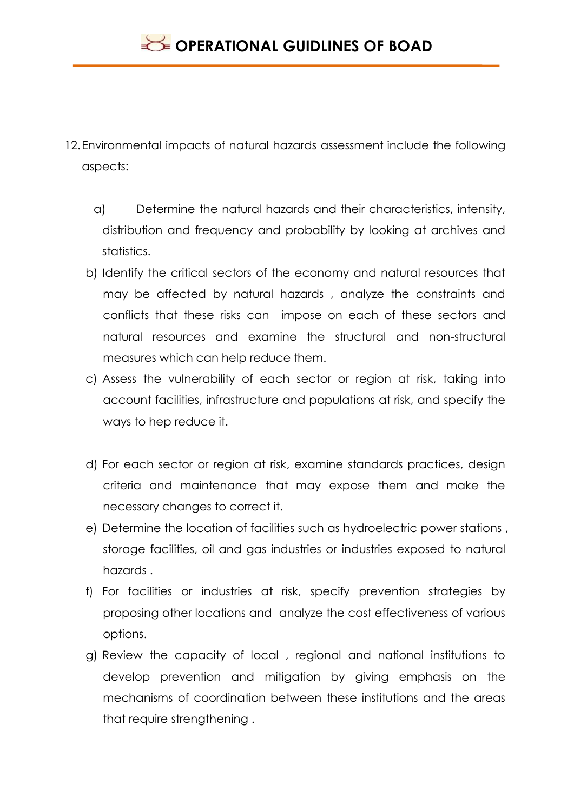- 12.Environmental impacts of natural hazards assessment include the following aspects:
	- a) Determine the natural hazards and their characteristics, intensity, distribution and frequency and probability by looking at archives and statistics.
	- b) Identify the critical sectors of the economy and natural resources that may be affected by natural hazards , analyze the constraints and conflicts that these risks can impose on each of these sectors and natural resources and examine the structural and non-structural measures which can help reduce them.
	- c) Assess the vulnerability of each sector or region at risk, taking into account facilities, infrastructure and populations at risk, and specify the ways to hep reduce it.
	- d) For each sector or region at risk, examine standards practices, design criteria and maintenance that may expose them and make the necessary changes to correct it.
	- e) Determine the location of facilities such as hydroelectric power stations , storage facilities, oil and gas industries or industries exposed to natural hazards .
	- f) For facilities or industries at risk, specify prevention strategies by proposing other locations and analyze the cost effectiveness of various options.
	- g) Review the capacity of local , regional and national institutions to develop prevention and mitigation by giving emphasis on the mechanisms of coordination between these institutions and the areas that require strengthening .